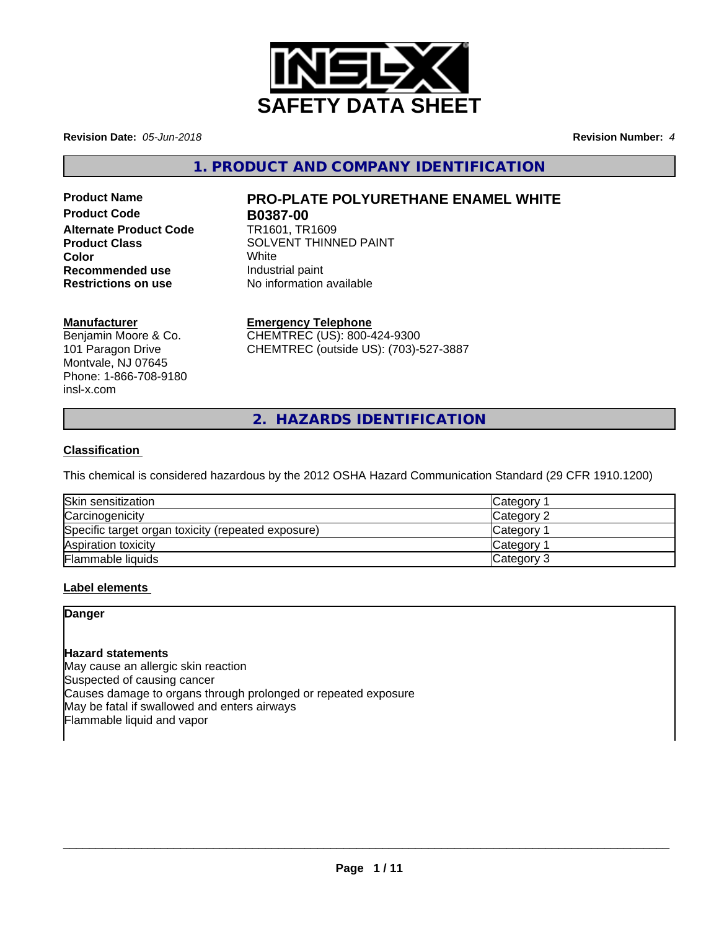

**Revision Date:** *05-Jun-2018* **Revision Number:** *4*

**1. PRODUCT AND COMPANY IDENTIFICATION**

**Product Code B0387-00 Alternate Product Code** TR1601, TR1609 **Recommended use Industrial paint**<br> **Restrictions on use No information** 

# **Product Name PRO-PLATE POLYURETHANE ENAMEL WHITE**

**Product Class** SOLVENT THINNED PAINT **Color** White White **No information available** 

# **Manufacturer**

Benjamin Moore & Co. 101 Paragon Drive Montvale, NJ 07645 Phone: 1-866-708-9180 insl-x.com

# **Emergency Telephone**

CHEMTREC (US): 800-424-9300 CHEMTREC (outside US): (703)-527-3887

**2. HAZARDS IDENTIFICATION**

# **Classification**

This chemical is considered hazardous by the 2012 OSHA Hazard Communication Standard (29 CFR 1910.1200)

| Skin sensitization                                 | <b>Category</b> |
|----------------------------------------------------|-----------------|
| Carcinogenicity                                    | Category 2      |
| Specific target organ toxicity (repeated exposure) | Category        |
| Aspiration toxicity                                | Category        |
| Flammable liquids                                  | Category 3      |

# **Label elements**

# **Danger**

### **Hazard statements**

May cause an allergic skin reaction Suspected of causing cancer Causes damage to organs through prolonged or repeated exposure May be fatal if swallowed and enters airways Flammable liquid and vapor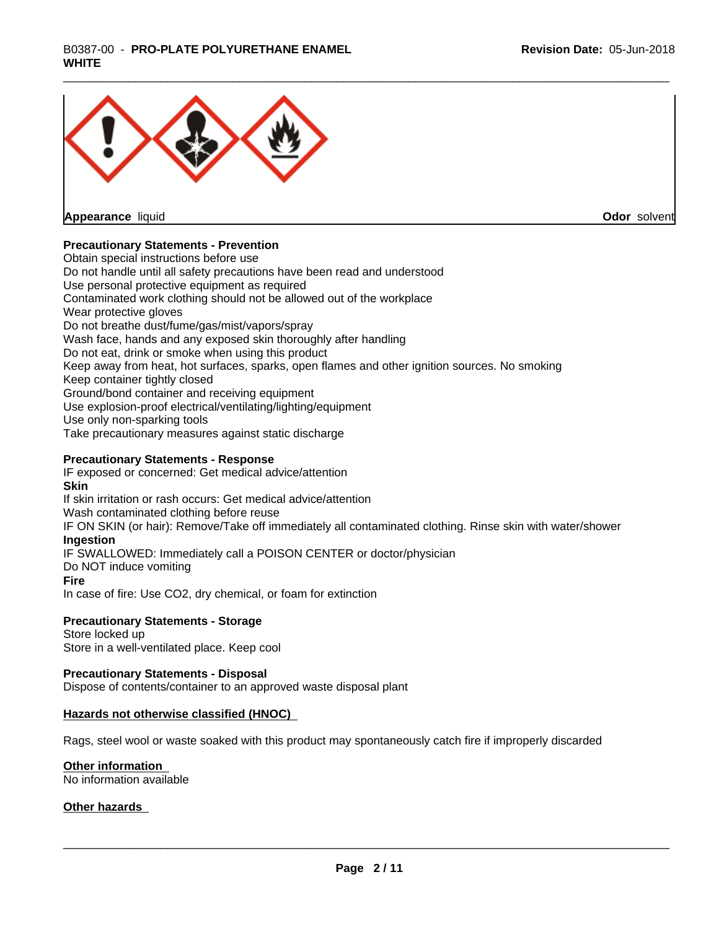# \_\_\_\_\_\_\_\_\_\_\_\_\_\_\_\_\_\_\_\_\_\_\_\_\_\_\_\_\_\_\_\_\_\_\_\_\_\_\_\_\_\_\_\_\_\_\_\_\_\_\_\_\_\_\_\_\_\_\_\_\_\_\_\_\_\_\_\_\_\_\_\_\_\_\_\_\_\_\_\_\_\_\_\_\_\_\_\_\_\_\_\_\_ B0387-00 - **PRO-PLATE POLYURETHANE ENAMEL WHITE**



**Appearance** liquid

**Odor** solvent

# **Precautionary Statements - Prevention**

Obtain special instructions before use Do not handle until all safety precautions have been read and understood Use personal protective equipment as required Contaminated work clothing should not be allowed out of the workplace Wear protective gloves Do not breathe dust/fume/gas/mist/vapors/spray Wash face, hands and any exposed skin thoroughly after handling Do not eat, drink or smoke when using this product Keep away from heat, hot surfaces, sparks, open flames and other ignition sources. No smoking Keep container tightly closed Ground/bond container and receiving equipment Use explosion-proof electrical/ventilating/lighting/equipment Use only non-sparking tools Take precautionary measures against static discharge

### **Precautionary Statements - Response**

IF exposed or concerned: Get medical advice/attention **Skin** If skin irritation or rash occurs: Get medical advice/attention Wash contaminated clothing before reuse IF ON SKIN (or hair): Remove/Take off immediately all contaminated clothing. Rinse skin with water/shower **Ingestion** IF SWALLOWED: Immediately call a POISON CENTER or doctor/physician Do NOT induce vomiting **Fire** In case of fire: Use CO2, dry chemical, or foam for extinction

### **Precautionary Statements - Storage**

Store locked up Store in a well-ventilated place. Keep cool

### **Precautionary Statements - Disposal**

Dispose of contents/container to an approved waste disposal plant

### **Hazards not otherwise classified (HNOC)**

Rags, steel wool or waste soaked with this product may spontaneously catch fire if improperly discarded

### **Other information**

No information available

### **Other hazards**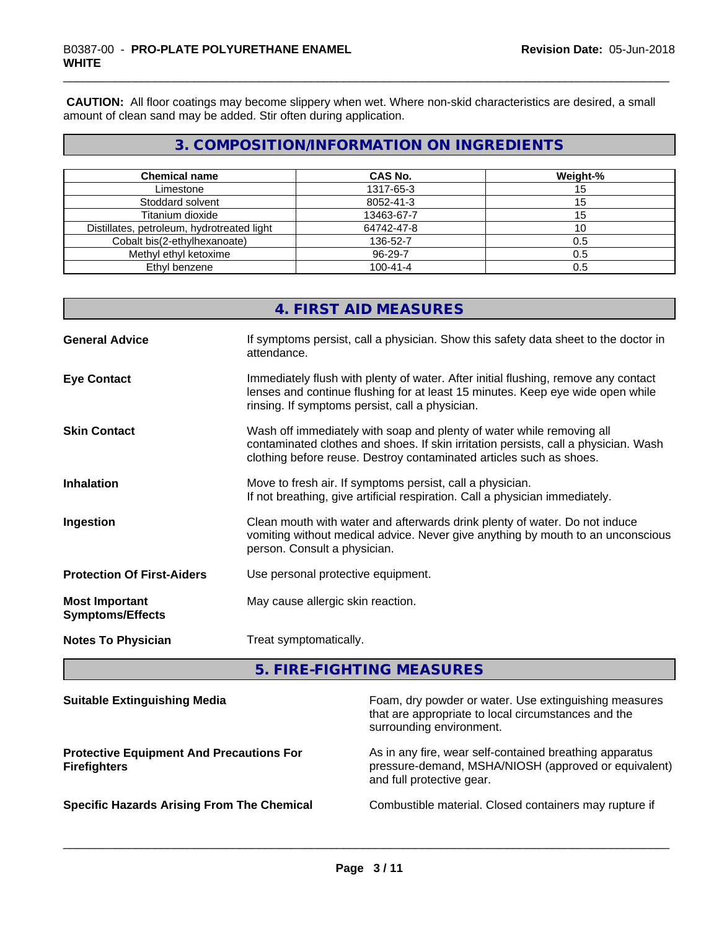**CAUTION:** All floor coatings may become slippery when wet. Where non-skid characteristics are desired, a small amount of clean sand may be added. Stir often during application.

# **3. COMPOSITION/INFORMATION ON INGREDIENTS**

| <b>Chemical name</b>                       | <b>CAS No.</b> | Weight-% |
|--------------------------------------------|----------------|----------|
| Limestone                                  | 1317-65-3      |          |
| Stoddard solvent                           | 8052-41-3      | 15       |
| Titanium dioxide                           | 13463-67-7     |          |
| Distillates, petroleum, hydrotreated light | 64742-47-8     | 10       |
| Cobalt bis(2-ethylhexanoate)               | 136-52-7       | 0.5      |
| Methyl ethyl ketoxime                      | 96-29-7        | 0.5      |
| Ethyl benzene                              | $100 - 41 - 4$ | 0.5      |

|                                                  | 4. FIRST AID MEASURES                                                                                                                                                                                                               |
|--------------------------------------------------|-------------------------------------------------------------------------------------------------------------------------------------------------------------------------------------------------------------------------------------|
| <b>General Advice</b>                            | If symptoms persist, call a physician. Show this safety data sheet to the doctor in<br>attendance.                                                                                                                                  |
| <b>Eye Contact</b>                               | Immediately flush with plenty of water. After initial flushing, remove any contact<br>lenses and continue flushing for at least 15 minutes. Keep eye wide open while<br>rinsing. If symptoms persist, call a physician.             |
| <b>Skin Contact</b>                              | Wash off immediately with soap and plenty of water while removing all<br>contaminated clothes and shoes. If skin irritation persists, call a physician. Wash<br>clothing before reuse. Destroy contaminated articles such as shoes. |
| <b>Inhalation</b>                                | Move to fresh air. If symptoms persist, call a physician.<br>If not breathing, give artificial respiration. Call a physician immediately.                                                                                           |
| Ingestion                                        | Clean mouth with water and afterwards drink plenty of water. Do not induce<br>vomiting without medical advice. Never give anything by mouth to an unconscious<br>person. Consult a physician.                                       |
| <b>Protection Of First-Aiders</b>                | Use personal protective equipment.                                                                                                                                                                                                  |
| <b>Most Important</b><br><b>Symptoms/Effects</b> | May cause allergic skin reaction.                                                                                                                                                                                                   |
| <b>Notes To Physician</b>                        | Treat symptomatically.                                                                                                                                                                                                              |
|                                                  |                                                                                                                                                                                                                                     |

**5. FIRE-FIGHTING MEASURES**

| <b>Suitable Extinguishing Media</b>                                    | Foam, dry powder or water. Use extinguishing measures<br>that are appropriate to local circumstances and the<br>surrounding environment.     |
|------------------------------------------------------------------------|----------------------------------------------------------------------------------------------------------------------------------------------|
| <b>Protective Equipment And Precautions For</b><br><b>Firefighters</b> | As in any fire, wear self-contained breathing apparatus<br>pressure-demand, MSHA/NIOSH (approved or equivalent)<br>and full protective gear. |
| <b>Specific Hazards Arising From The Chemical</b>                      | Combustible material. Closed containers may rupture if                                                                                       |
|                                                                        |                                                                                                                                              |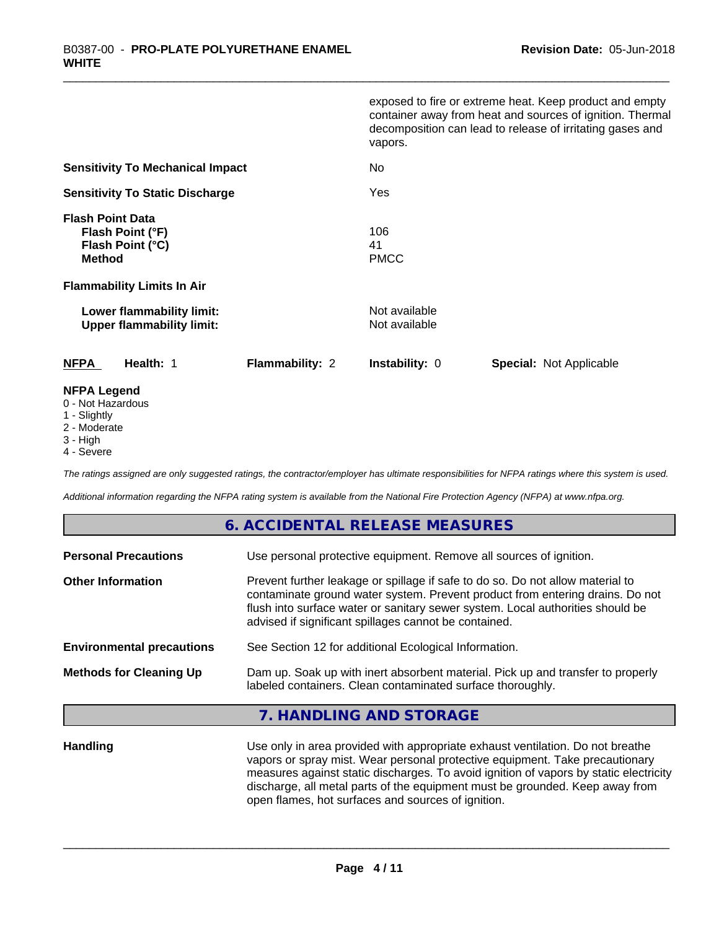|                                                                                  | exposed to fire or extreme heat. Keep product and empty<br>container away from heat and sources of ignition. Thermal<br>decomposition can lead to release of irritating gases and<br>vapors. |
|----------------------------------------------------------------------------------|----------------------------------------------------------------------------------------------------------------------------------------------------------------------------------------------|
| <b>Sensitivity To Mechanical Impact</b>                                          | No                                                                                                                                                                                           |
| <b>Sensitivity To Static Discharge</b>                                           | Yes                                                                                                                                                                                          |
| <b>Flash Point Data</b><br>Flash Point (°F)<br>Flash Point (°C)<br><b>Method</b> | 106<br>41<br><b>PMCC</b>                                                                                                                                                                     |
| <b>Flammability Limits In Air</b>                                                |                                                                                                                                                                                              |
| Lower flammability limit:<br><b>Upper flammability limit:</b>                    | Not available<br>Not available                                                                                                                                                               |
| <b>NFPA</b><br>Health: 1<br><b>Flammability: 2</b>                               | <b>Instability: 0</b><br><b>Special: Not Applicable</b>                                                                                                                                      |
| <b>NFPA Legend</b>                                                               |                                                                                                                                                                                              |

#### 0 - Not Hazardous

- 1 Slightly
- 2 Moderate
- 3 High
- 4 Severe

*The ratings assigned are only suggested ratings, the contractor/employer has ultimate responsibilities for NFPA ratings where this system is used.*

*Additional information regarding the NFPA rating system is available from the National Fire Protection Agency (NFPA) at www.nfpa.org.*

# **6. ACCIDENTAL RELEASE MEASURES**

| <b>Personal Precautions</b>      | Use personal protective equipment. Remove all sources of ignition.                                                                                                                                                                                                                                         |
|----------------------------------|------------------------------------------------------------------------------------------------------------------------------------------------------------------------------------------------------------------------------------------------------------------------------------------------------------|
| <b>Other Information</b>         | Prevent further leakage or spillage if safe to do so. Do not allow material to<br>contaminate ground water system. Prevent product from entering drains. Do not<br>flush into surface water or sanitary sewer system. Local authorities should be<br>advised if significant spillages cannot be contained. |
| <b>Environmental precautions</b> | See Section 12 for additional Ecological Information.                                                                                                                                                                                                                                                      |
| <b>Methods for Cleaning Up</b>   | Dam up. Soak up with inert absorbent material. Pick up and transfer to properly<br>labeled containers. Clean contaminated surface thoroughly.                                                                                                                                                              |

# **7. HANDLING AND STORAGE**

**Handling** Use only in area provided with appropriate exhaust ventilation. Do not breathe vapors or spray mist. Wear personal protective equipment. Take precautionary measures against static discharges. To avoid ignition of vapors by static electricity discharge, all metal parts of the equipment must be grounded. Keep away from open flames, hot surfaces and sources of ignition.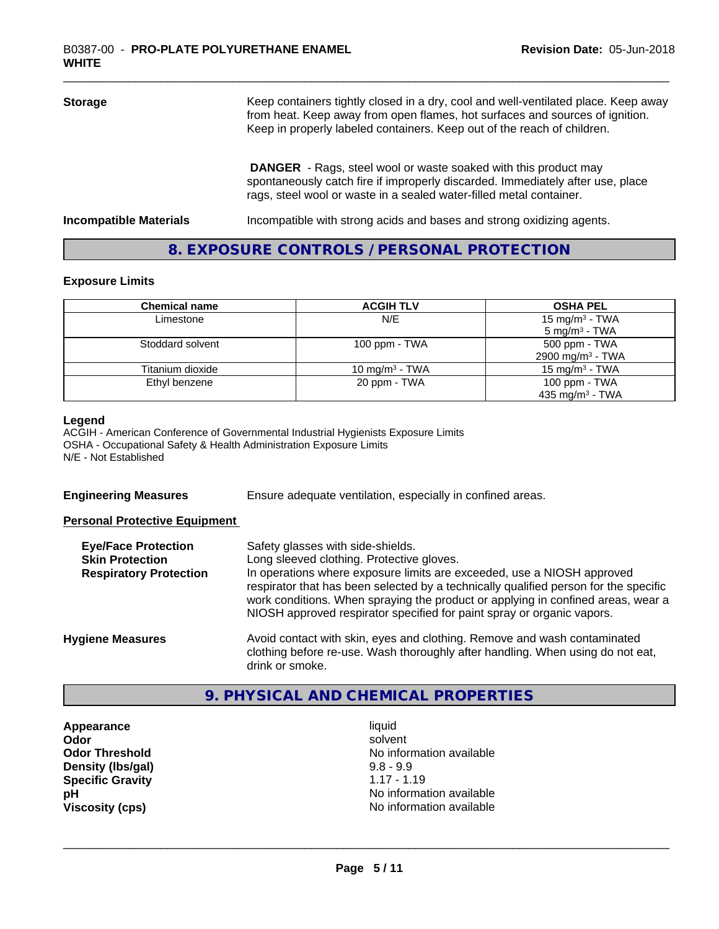| <b>Storage</b>                | Keep containers tightly closed in a dry, cool and well-ventilated place. Keep away<br>from heat. Keep away from open flames, hot surfaces and sources of ignition.<br>Keep in properly labeled containers. Keep out of the reach of children. |  |
|-------------------------------|-----------------------------------------------------------------------------------------------------------------------------------------------------------------------------------------------------------------------------------------------|--|
|                               | <b>DANGER</b> - Rags, steel wool or waste soaked with this product may<br>spontaneously catch fire if improperly discarded. Immediately after use, place<br>rags, steel wool or waste in a sealed water-filled metal container.               |  |
| <b>Incompatible Materials</b> | Incompatible with strong acids and bases and strong oxidizing agents.                                                                                                                                                                         |  |

# **8. EXPOSURE CONTROLS / PERSONAL PROTECTION**

### **Exposure Limits**

| <b>Chemical name</b> | <b>ACGIH TLV</b>  | <b>OSHA PEL</b>              |
|----------------------|-------------------|------------------------------|
| Limestone            | N/E               | 15 mg/m <sup>3</sup> - TWA   |
|                      |                   | $5 \text{ mg/m}^3$ - TWA     |
| Stoddard solvent     | 100 ppm - $TWA$   | 500 ppm - TWA                |
|                      |                   | 2900 mg/m <sup>3</sup> - TWA |
| Titanium dioxide     | 10 mg/m $3$ - TWA | 15 mg/m $3$ - TWA            |
| Ethyl benzene        | 20 ppm - TWA      | 100 ppm $-$ TWA              |
|                      |                   | 435 mg/m <sup>3</sup> - TWA  |

#### **Legend**

ACGIH - American Conference of Governmental Industrial Hygienists Exposure Limits OSHA - Occupational Safety & Health Administration Exposure Limits N/E - Not Established

**Engineering Measures** Ensure adequate ventilation, especially in confined areas.

### **Personal Protective Equipment**

| <b>Eye/Face Protection</b><br><b>Skin Protection</b> | Safety glasses with side-shields.<br>Long sleeved clothing. Protective gloves.                                                                                                                                                                     |
|------------------------------------------------------|----------------------------------------------------------------------------------------------------------------------------------------------------------------------------------------------------------------------------------------------------|
| <b>Respiratory Protection</b>                        | In operations where exposure limits are exceeded, use a NIOSH approved                                                                                                                                                                             |
|                                                      | respirator that has been selected by a technically qualified person for the specific<br>work conditions. When spraying the product or applying in confined areas, wear a<br>NIOSH approved respirator specified for paint spray or organic vapors. |
| <b>Hygiene Measures</b>                              | Avoid contact with skin, eyes and clothing. Remove and wash contaminated<br>clothing before re-use. Wash thoroughly after handling. When using do not eat,                                                                                         |
|                                                      | drink or smoke.                                                                                                                                                                                                                                    |

# **9. PHYSICAL AND CHEMICAL PROPERTIES**

**Appearance** liquid **Density (Ibs/gal)** 9.8 - 9.9<br> **Specific Gravity** 1.17 - 1.19 **Specific Gravity** 

**Odor** solvent **Odor Threshold No information available No information available pH** No information available **Viscosity (cps)** No information available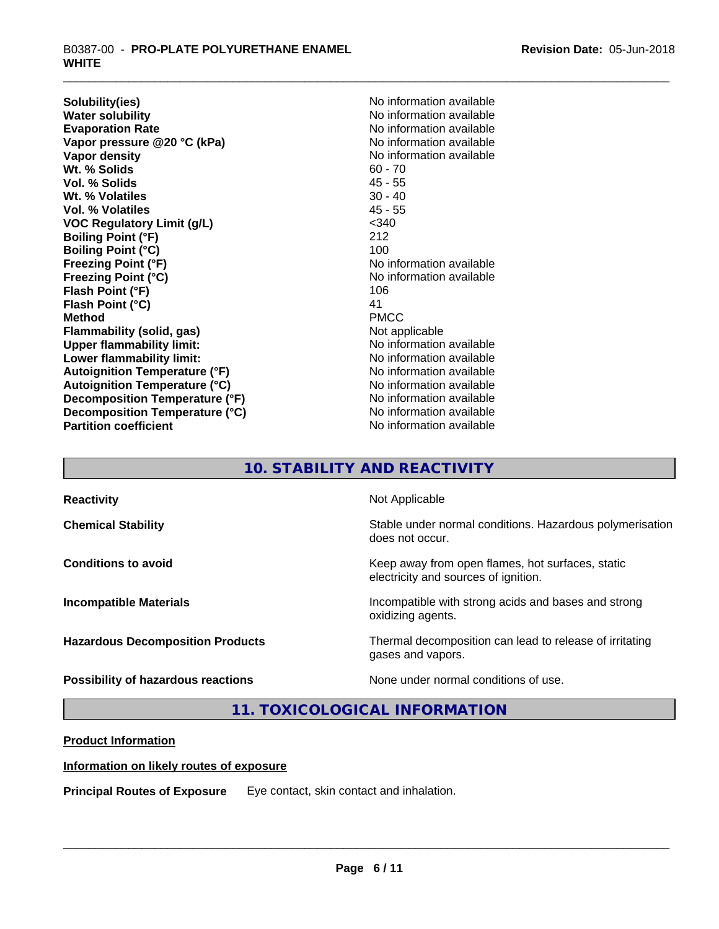**Solubility(ies)** No information available **Water solubility**<br> **Evaporation Rate**<br> **Evaporation Rate**<br> **Evaporation Rate Vapor pressure @20 °C (kPa)** No information available<br> **Vapor density** No information available **Wt. % Solids** 60 - 70 **Vol. % Solids** 45 - 55 **Wt. % Volatiles** 30 - 40 **Vol. % Volatiles VOC Regulatory Limit (g/L)** <340 **Boiling Point (°F)** 212 **Boiling Point (°C)** 100 **Freezing Point (°F)**<br> **Freezing Point (°C)**<br> **Freezing Point (°C)**<br> **No information available Flash Point (°F)** 106 **Flash Point (°C)** 41<br> **Method** PMCC **Method** PMCC **Flammability (solid, gas)** Not applicable **Upper flammability limit:**<br> **Lower flammability limit:** No information available<br>
No information available **Lower flammability limit: Autoignition Temperature (°F)** No information available **Autoignition Temperature (°C)** No information available **Decomposition Temperature (°F)** No information available **Decomposition Temperature (°C)** No information available<br> **Partition coefficient Partition available Partition coefficient** 

**Evaporation Rate** No information available **No information available Freezing Point (°C)** No information available

# **10. STABILITY AND REACTIVITY**

| <b>Reactivity</b>                       | Not Applicable                                                                           |
|-----------------------------------------|------------------------------------------------------------------------------------------|
| <b>Chemical Stability</b>               | Stable under normal conditions. Hazardous polymerisation<br>does not occur.              |
| <b>Conditions to avoid</b>              | Keep away from open flames, hot surfaces, static<br>electricity and sources of ignition. |
| <b>Incompatible Materials</b>           | Incompatible with strong acids and bases and strong<br>oxidizing agents.                 |
| <b>Hazardous Decomposition Products</b> | Thermal decomposition can lead to release of irritating<br>gases and vapors.             |
| Possibility of hazardous reactions      | None under normal conditions of use.                                                     |

**11. TOXICOLOGICAL INFORMATION**

# **Product Information**

# **Information on likely routes of exposure**

**Principal Routes of Exposure** Eye contact, skin contact and inhalation.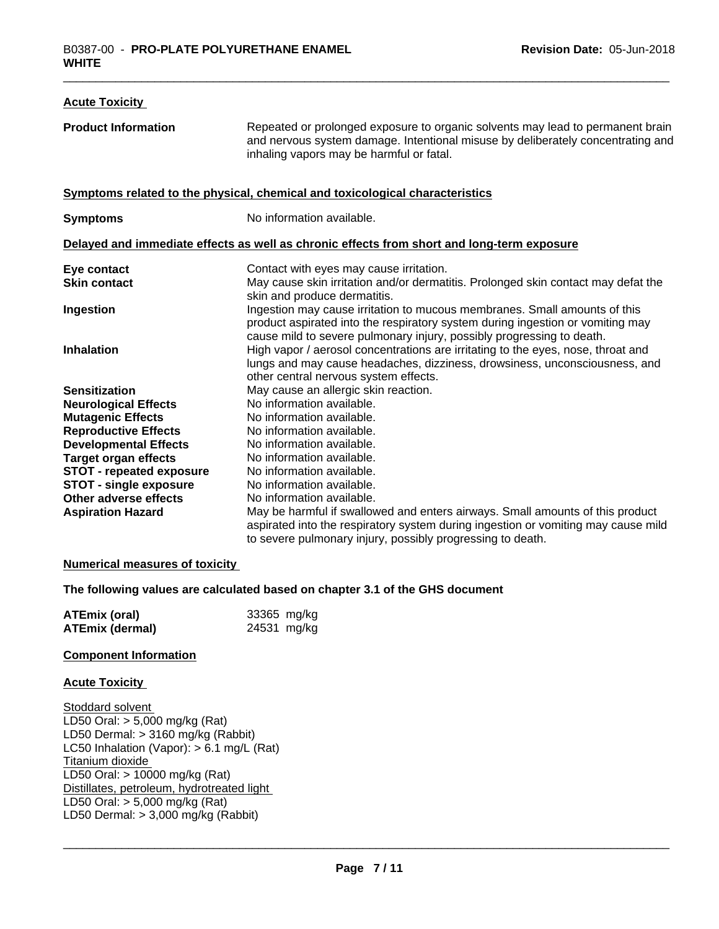| <b>Acute Toxicity</b>           |                                                                                                                                                                                                                                      |
|---------------------------------|--------------------------------------------------------------------------------------------------------------------------------------------------------------------------------------------------------------------------------------|
| <b>Product Information</b>      | Repeated or prolonged exposure to organic solvents may lead to permanent brain<br>and nervous system damage. Intentional misuse by deliberately concentrating and<br>inhaling vapors may be harmful or fatal.                        |
|                                 | Symptoms related to the physical, chemical and toxicological characteristics                                                                                                                                                         |
| <b>Symptoms</b>                 | No information available.                                                                                                                                                                                                            |
|                                 | Delayed and immediate effects as well as chronic effects from short and long-term exposure                                                                                                                                           |
| Eye contact                     | Contact with eyes may cause irritation.                                                                                                                                                                                              |
| <b>Skin contact</b>             | May cause skin irritation and/or dermatitis. Prolonged skin contact may defat the<br>skin and produce dermatitis.                                                                                                                    |
| Ingestion                       | Ingestion may cause irritation to mucous membranes. Small amounts of this<br>product aspirated into the respiratory system during ingestion or vomiting may<br>cause mild to severe pulmonary injury, possibly progressing to death. |
| <b>Inhalation</b>               | High vapor / aerosol concentrations are irritating to the eyes, nose, throat and<br>lungs and may cause headaches, dizziness, drowsiness, unconsciousness, and<br>other central nervous system effects.                              |
| <b>Sensitization</b>            | May cause an allergic skin reaction.                                                                                                                                                                                                 |
| <b>Neurological Effects</b>     | No information available.                                                                                                                                                                                                            |
| <b>Mutagenic Effects</b>        | No information available.                                                                                                                                                                                                            |
| <b>Reproductive Effects</b>     | No information available.                                                                                                                                                                                                            |
| <b>Developmental Effects</b>    | No information available.                                                                                                                                                                                                            |
| <b>Target organ effects</b>     | No information available.                                                                                                                                                                                                            |
| <b>STOT - repeated exposure</b> | No information available.                                                                                                                                                                                                            |
| <b>STOT - single exposure</b>   | No information available.                                                                                                                                                                                                            |
| Other adverse effects           | No information available.                                                                                                                                                                                                            |
| <b>Aspiration Hazard</b>        | May be harmful if swallowed and enters airways. Small amounts of this product                                                                                                                                                        |
|                                 | aspirated into the respiratory system during ingestion or vomiting may cause mild                                                                                                                                                    |
|                                 | to severe pulmonary injury, possibly progressing to death.                                                                                                                                                                           |

### **Numerical measures of toxicity**

### **The following values are calculated based on chapter 3.1 of the GHS document**

| <b>ATEmix (oral)</b> | 33365 mg/kg |
|----------------------|-------------|
| ATEmix (dermal)      | 24531 mg/kg |

### **Component Information**

### **Acute Toxicity**

Stoddard solvent LD50 Oral: > 5,000 mg/kg (Rat) LD50 Dermal: > 3160 mg/kg (Rabbit) LC50 Inhalation (Vapor): > 6.1 mg/L (Rat) Titanium dioxide LD50 Oral: > 10000 mg/kg (Rat) Distillates, petroleum, hydrotreated light LD50 Oral: > 5,000 mg/kg (Rat) LD50 Dermal: > 3,000 mg/kg (Rabbit)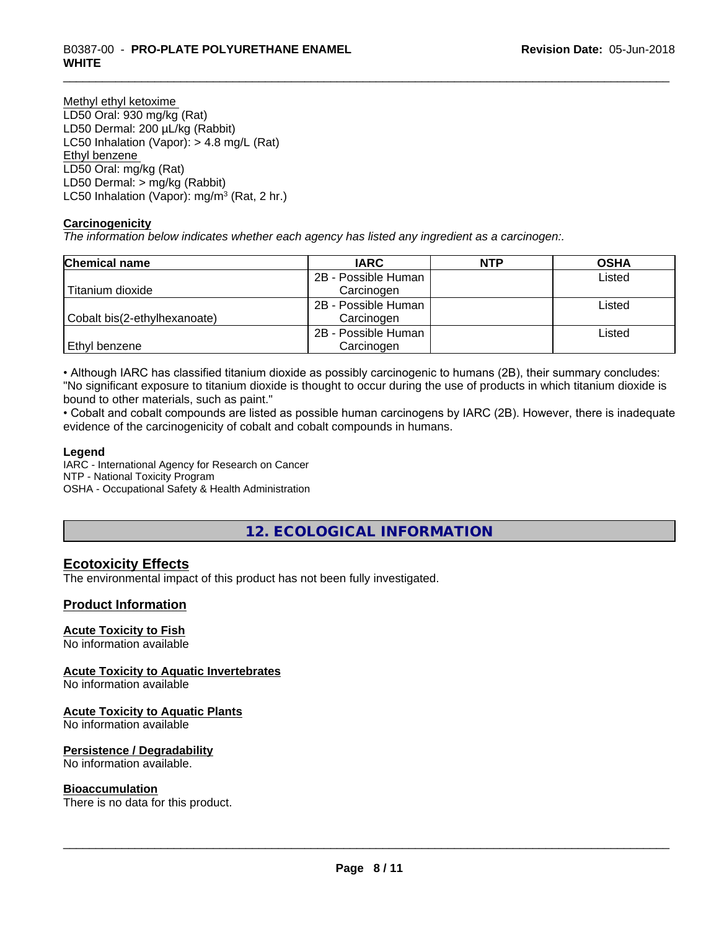# \_\_\_\_\_\_\_\_\_\_\_\_\_\_\_\_\_\_\_\_\_\_\_\_\_\_\_\_\_\_\_\_\_\_\_\_\_\_\_\_\_\_\_\_\_\_\_\_\_\_\_\_\_\_\_\_\_\_\_\_\_\_\_\_\_\_\_\_\_\_\_\_\_\_\_\_\_\_\_\_\_\_\_\_\_\_\_\_\_\_\_\_\_ B0387-00 - **PRO-PLATE POLYURETHANE ENAMEL WHITE**

Methyl ethyl ketoxime LD50 Oral: 930 mg/kg (Rat) LD50 Dermal: 200 µL/kg (Rabbit) LC50 Inhalation (Vapor): > 4.8 mg/L (Rat) Ethyl benzene LD50 Oral: mg/kg (Rat) LD50 Dermal: > mg/kg (Rabbit) LC50 Inhalation (Vapor): mg/m<sup>3</sup> (Rat, 2 hr.)

### **Carcinogenicity**

*The information below indicateswhether each agency has listed any ingredient as a carcinogen:.*

| <b>Chemical name</b>         | <b>IARC</b>                   | <b>NTP</b> | <b>OSHA</b> |
|------------------------------|-------------------------------|------------|-------------|
|                              | 2B - Possible Human           |            | Listed      |
| Titanium dioxide             | Carcinogen                    |            |             |
|                              | 2B - Possible Human<br>Listed |            |             |
| Cobalt bis(2-ethylhexanoate) | Carcinogen                    |            |             |
|                              | 2B - Possible Human           |            | Listed      |
| Ethyl benzene                | Carcinogen                    |            |             |

• Although IARC has classified titanium dioxide as possibly carcinogenic to humans (2B), their summary concludes: "No significant exposure to titanium dioxide is thought to occur during the use of products in which titanium dioxide is bound to other materials, such as paint."

• Cobalt and cobalt compounds are listed as possible human carcinogens by IARC (2B). However, there is inadequate evidence of the carcinogenicity of cobalt and cobalt compounds in humans.

### **Legend**

IARC - International Agency for Research on Cancer NTP - National Toxicity Program OSHA - Occupational Safety & Health Administration

# **12. ECOLOGICAL INFORMATION**

# **Ecotoxicity Effects**

The environmental impact of this product has not been fully investigated.

# **Product Information**

### **Acute Toxicity to Fish**

No information available

# **Acute Toxicity to Aquatic Invertebrates**

No information available

### **Acute Toxicity to Aquatic Plants**

No information available

### **Persistence / Degradability**

No information available.

### **Bioaccumulation**

There is no data for this product.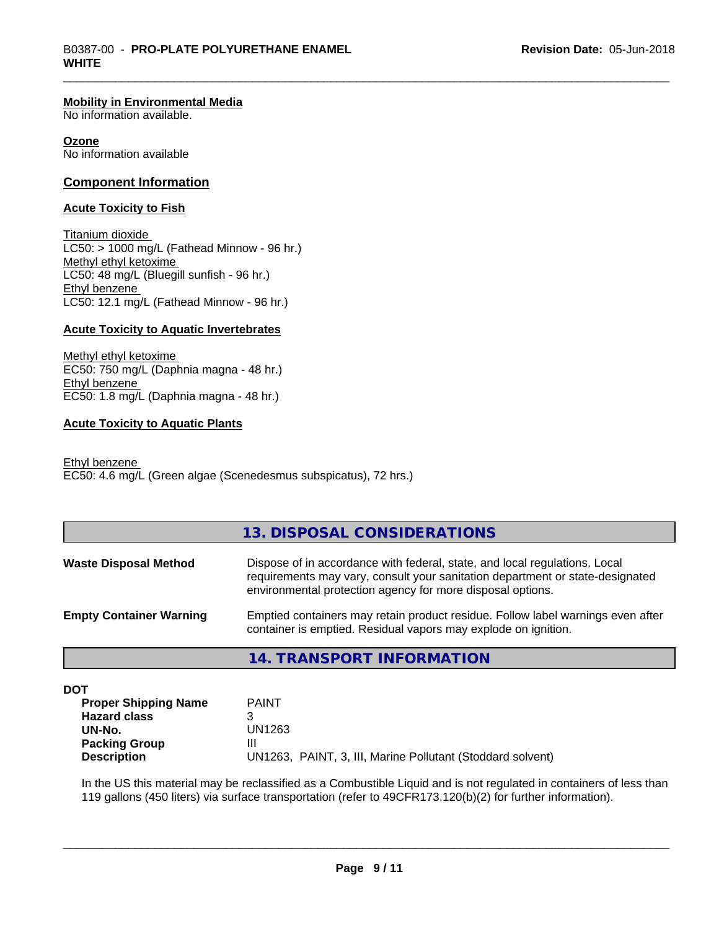#### **Mobility in Environmental Media**

No information available.

#### **Ozone**

No information available

### **Component Information**

### **Acute Toxicity to Fish**

Titanium dioxide  $LC50:$  > 1000 mg/L (Fathead Minnow - 96 hr.) Methyl ethyl ketoxime LC50: 48 mg/L (Bluegill sunfish - 96 hr.) Ethyl benzene LC50: 12.1 mg/L (Fathead Minnow - 96 hr.)

### **Acute Toxicity to Aquatic Invertebrates**

Methyl ethyl ketoxime EC50: 750 mg/L (Daphnia magna - 48 hr.) Ethyl benzene EC50: 1.8 mg/L (Daphnia magna - 48 hr.)

### **Acute Toxicity to Aquatic Plants**

Ethyl benzene EC50: 4.6 mg/L (Green algae (Scenedesmus subspicatus), 72 hrs.)

# **13. DISPOSAL CONSIDERATIONS**

| <b>Waste Disposal Method</b>   | Dispose of in accordance with federal, state, and local regulations. Local<br>requirements may vary, consult your sanitation department or state-designated<br>environmental protection agency for more disposal options. |
|--------------------------------|---------------------------------------------------------------------------------------------------------------------------------------------------------------------------------------------------------------------------|
| <b>Empty Container Warning</b> | Emptied containers may retain product residue. Follow label warnings even after<br>container is emptied. Residual vapors may explode on ignition.                                                                         |

# **14. TRANSPORT INFORMATION**

**DOT**

| <b>Proper Shipping Name</b> | <b>PAINT</b>                                               |
|-----------------------------|------------------------------------------------------------|
| <b>Hazard class</b>         |                                                            |
| UN-No.                      | UN1263                                                     |
| <b>Packing Group</b>        | Ш                                                          |
| <b>Description</b>          | UN1263, PAINT, 3, III, Marine Pollutant (Stoddard solvent) |

In the US this material may be reclassified as a Combustible Liquid and is not regulated in containers of less than 119 gallons (450 liters) via surface transportation (refer to 49CFR173.120(b)(2) for further information).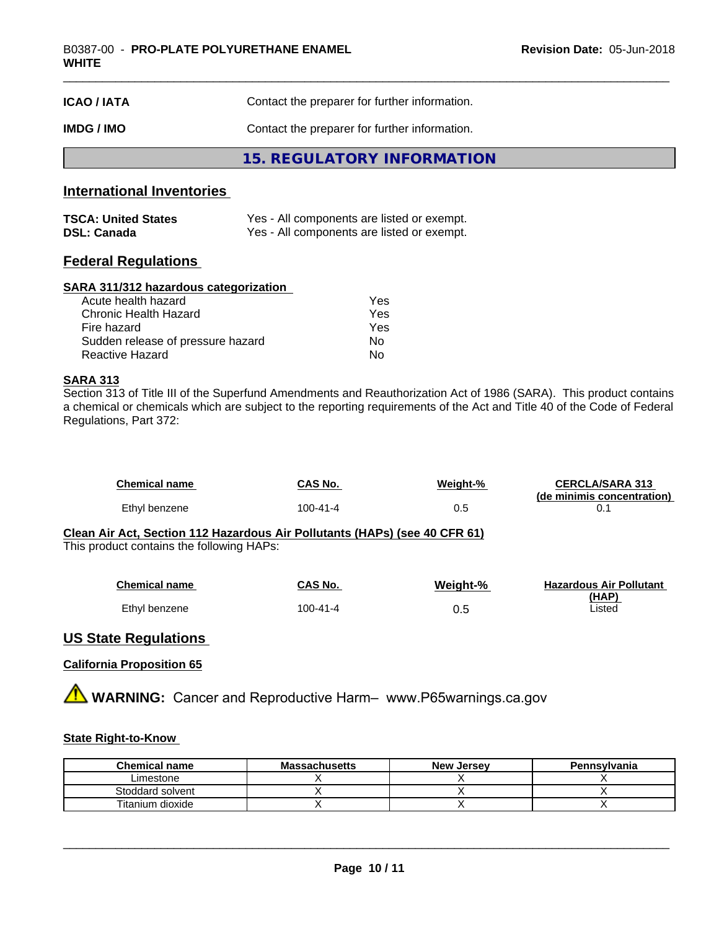| <b>ICAO/IATA</b> | Contact the preparer for further information. |  |
|------------------|-----------------------------------------------|--|
| IMDG / IMO       | Contact the preparer for further information. |  |
|                  | 15. REGULATORY INFORMATION                    |  |

# **International Inventories**

| <b>TSCA: United States</b> | Yes - All components are listed or exempt. |
|----------------------------|--------------------------------------------|
| <b>DSL: Canada</b>         | Yes - All components are listed or exempt. |

# **Federal Regulations**

### **SARA 311/312 hazardous categorization**

| Acute health hazard               | Yes |
|-----------------------------------|-----|
| Chronic Health Hazard             | Yes |
| Fire hazard                       | Yes |
| Sudden release of pressure hazard | Nο  |
| Reactive Hazard                   | Nο  |

# **SARA 313**

Section 313 of Title III of the Superfund Amendments and Reauthorization Act of 1986 (SARA). This product contains a chemical or chemicals which are subject to the reporting requirements of the Act and Title 40 of the Code of Federal Regulations, Part 372:

| <b>Chemical name</b> | CAS No.  | Weight-% | <b>CERCLA/SARA 313</b><br>(de minimis concentration) |
|----------------------|----------|----------|------------------------------------------------------|
| Ethyl benzene        | 100-41-4 | 0.5      |                                                      |

#### **Clean Air Act,Section 112 Hazardous Air Pollutants (HAPs) (see 40 CFR 61)** This product contains the following HAPs:

|  |  | <b>THIS PLOGGOT COLLEGING THE TOILOWITING LIFT</b> |  |
|--|--|----------------------------------------------------|--|
|  |  |                                                    |  |

| <b>Chemical name</b> | CAS No.  | Weight-% | <b>Hazardous Air Pollutant</b> |
|----------------------|----------|----------|--------------------------------|
|                      |          |          | (HAP)                          |
| Ethyl benzene        | 100-41-4 | U.U      | Listed                         |

# **US State Regulations**

### **California Proposition 65**

**AVIMARNING:** Cancer and Reproductive Harm– www.P65warnings.ca.gov

# **State Right-to-Know**

| <b>Chemical name</b> | <b>Massachusetts</b> | <b>New Jersey</b> | Pennsylvania |
|----------------------|----------------------|-------------------|--------------|
| _imestone            |                      |                   |              |
| Stoddard solvent     |                      |                   |              |
| Titanium dioxide     |                      |                   |              |